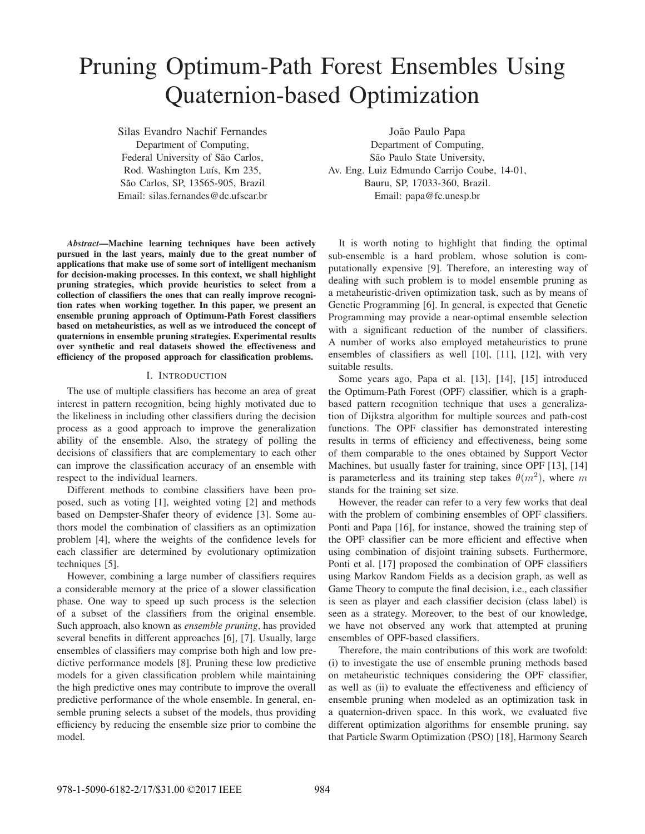# Pruning Optimum-Path Forest Ensembles Using Quaternion-based Optimization

Silas Evandro Nachif Fernandes Department of Computing, Federal University of São Carlos, Rod. Washington Luís, Km 235, São Carlos, SP, 13565-905, Brazil Email: silas.fernandes@dc.ufscar.br

*Abstract*—Machine learning techniques have been actively pursued in the last years, mainly due to the great number of applications that make use of some sort of intelligent mechanism for decision-making processes. In this context, we shall highlight pruning strategies, which provide heuristics to select from a collection of classifiers the ones that can really improve recognition rates when working together. In this paper, we present an ensemble pruning approach of Optimum-Path Forest classifiers based on metaheuristics, as well as we introduced the concept of quaternions in ensemble pruning strategies. Experimental results over synthetic and real datasets showed the effectiveness and efficiency of the proposed approach for classification problems.

# I. INTRODUCTION

The use of multiple classifiers has become an area of great interest in pattern recognition, being highly motivated due to the likeliness in including other classifiers during the decision process as a good approach to improve the generalization ability of the ensemble. Also, the strategy of polling the decisions of classifiers that are complementary to each other can improve the classification accuracy of an ensemble with respect to the individual learners.

Different methods to combine classifiers have been proposed, such as voting [1], weighted voting [2] and methods based on Dempster-Shafer theory of evidence [3]. Some authors model the combination of classifiers as an optimization problem [4], where the weights of the confidence levels for each classifier are determined by evolutionary optimization techniques [5].

However, combining a large number of classifiers requires a considerable memory at the price of a slower classification phase. One way to speed up such process is the selection of a subset of the classifiers from the original ensemble. Such approach, also known as *ensemble pruning*, has provided several benefits in different approaches [6], [7]. Usually, large ensembles of classifiers may comprise both high and low predictive performance models [8]. Pruning these low predictive models for a given classification problem while maintaining the high predictive ones may contribute to improve the overall predictive performance of the whole ensemble. In general, ensemble pruning selects a subset of the models, thus providing efficiency by reducing the ensemble size prior to combine the model.

João Paulo Papa Department of Computing, São Paulo State University, Av. Eng. Luiz Edmundo Carrijo Coube, 14-01, Bauru, SP, 17033-360, Brazil. Email: papa@fc.unesp.br

It is worth noting to highlight that finding the optimal sub-ensemble is a hard problem, whose solution is computationally expensive [9]. Therefore, an interesting way of dealing with such problem is to model ensemble pruning as a metaheuristic-driven optimization task, such as by means of Genetic Programming [6]. In general, is expected that Genetic Programming may provide a near-optimal ensemble selection with a significant reduction of the number of classifiers. A number of works also employed metaheuristics to prune ensembles of classifiers as well [10], [11], [12], with very suitable results.

Some years ago, Papa et al. [13], [14], [15] introduced the Optimum-Path Forest (OPF) classifier, which is a graphbased pattern recognition technique that uses a generalization of Dijkstra algorithm for multiple sources and path-cost functions. The OPF classifier has demonstrated interesting results in terms of efficiency and effectiveness, being some of them comparable to the ones obtained by Support Vector Machines, but usually faster for training, since OPF [13], [14] is parameterless and its training step takes  $\theta(m^2)$ , where m stands for the training set size.

However, the reader can refer to a very few works that deal with the problem of combining ensembles of OPF classifiers. Ponti and Papa [16], for instance, showed the training step of the OPF classifier can be more efficient and effective when using combination of disjoint training subsets. Furthermore, Ponti et al. [17] proposed the combination of OPF classifiers using Markov Random Fields as a decision graph, as well as Game Theory to compute the final decision, i.e., each classifier is seen as player and each classifier decision (class label) is seen as a strategy. Moreover, to the best of our knowledge, we have not observed any work that attempted at pruning ensembles of OPF-based classifiers.

Therefore, the main contributions of this work are twofold: (i) to investigate the use of ensemble pruning methods based on metaheuristic techniques considering the OPF classifier, as well as (ii) to evaluate the effectiveness and efficiency of ensemble pruning when modeled as an optimization task in a quaternion-driven space. In this work, we evaluated five different optimization algorithms for ensemble pruning, say that Particle Swarm Optimization (PSO) [18], Harmony Search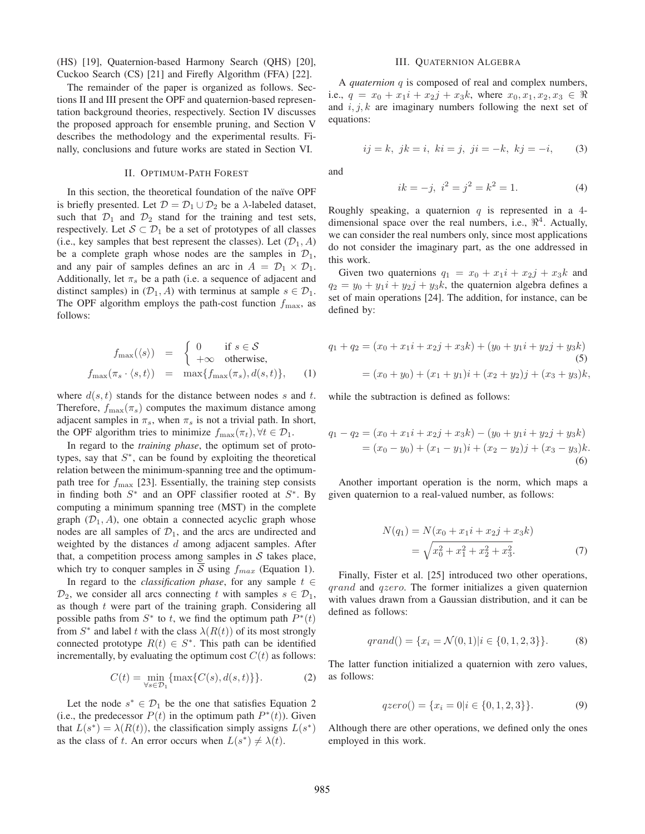(HS) [19], Quaternion-based Harmony Search (QHS) [20], Cuckoo Search (CS) [21] and Firefly Algorithm (FFA) [22].

The remainder of the paper is organized as follows. Sections II and III present the OPF and quaternion-based representation background theories, respectively. Section IV discusses the proposed approach for ensemble pruning, and Section V describes the methodology and the experimental results. Finally, conclusions and future works are stated in Section VI.

# II. OPTIMUM-PATH FOREST

In this section, the theoretical foundation of the naïve OPF is briefly presented. Let  $\mathcal{D} = \mathcal{D}_1 \cup \mathcal{D}_2$  be a  $\lambda$ -labeled dataset, such that  $\mathcal{D}_1$  and  $\mathcal{D}_2$  stand for the training and test sets, respectively. Let  $S \subset \mathcal{D}_1$  be a set of prototypes of all classes (i.e., key samples that best represent the classes). Let  $(\mathcal{D}_1, A)$ be a complete graph whose nodes are the samples in  $\mathcal{D}_1$ , and any pair of samples defines an arc in  $A = \mathcal{D}_1 \times \mathcal{D}_1$ . Additionally, let  $\pi_s$  be a path (i.e. a sequence of adjacent and distinct samples) in  $(D_1, A)$  with terminus at sample  $s \in \mathcal{D}_1$ . The OPF algorithm employs the path-cost function  $f_{\text{max}}$ , as follows:

$$
f_{\max}(\langle s \rangle) = \begin{cases} 0 & \text{if } s \in \mathcal{S} \\ +\infty & \text{otherwise,} \end{cases}
$$

$$
f_{\max}(\pi_s \cdot \langle s, t \rangle) = \max\{f_{\max}(\pi_s), d(s, t)\}, \quad (1)
$$

where  $d(s, t)$  stands for the distance between nodes s and t. Therefore,  $f_{\text{max}}(\pi_s)$  computes the maximum distance among adjacent samples in  $\pi_s$ , when  $\pi_s$  is not a trivial path. In short, the OPF algorithm tries to minimize  $f_{\text{max}}(\pi_t)$ ,  $\forall t \in \mathcal{D}_1$ .

In regard to the *training phase*, the optimum set of prototypes, say that  $S^*$ , can be found by exploiting the theoretical relation between the minimum-spanning tree and the optimumpath tree for  $f_{\text{max}}$  [23]. Essentially, the training step consists in finding both  $S^*$  and an OPF classifier rooted at  $S^*$ . By computing a minimum spanning tree (MST) in the complete graph  $(\mathcal{D}_1, A)$ , one obtain a connected acyclic graph whose nodes are all samples of  $\mathcal{D}_1$ , and the arcs are undirected and weighted by the distances d among adjacent samples. After that, a competition process among samples in  $S$  takes place, which try to conquer samples in S using  $f_{max}$  (Equation 1).

In regard to the *classification phase*, for any sample  $t \in$  $\mathcal{D}_2$ , we consider all arcs connecting t with samples  $s \in \mathcal{D}_1$ , as though  $t$  were part of the training graph. Considering all possible paths from  $S^*$  to t, we find the optimum path  $P^*(t)$ from  $S^*$  and label t with the class  $\lambda(R(t))$  of its most strongly connected prototype  $R(t) \in S^*$ . This path can be identified incrementally, by evaluating the optimum cost  $C(t)$  as follows:

$$
C(t) = \min_{\forall s \in \mathcal{D}_1} \{ \max\{C(s), d(s, t)\} \}.
$$
 (2)

Let the node  $s^* \in \mathcal{D}_1$  be the one that satisfies Equation 2 (i.e., the predecessor  $P(t)$  in the optimum path  $P^*(t)$ ). Given that  $L(s^*) = \lambda(R(t))$ , the classification simply assigns  $L(s^*)$ as the class of t. An error occurs when  $L(s^*) \neq \lambda(t)$ .

#### III. QUATERNION ALGEBRA

A *quaternion* q is composed of real and complex numbers, i.e.,  $q = x_0 + x_1i + x_2j + x_3k$ , where  $x_0, x_1, x_2, x_3 \in \Re$ and  $i, j, k$  are imaginary numbers following the next set of equations:

$$
ij = k, jk = i, ki = j, ji = -k, kj = -i,
$$
 (3)

and

$$
ik = -j, \ i^2 = j^2 = k^2 = 1. \tag{4}
$$

Roughly speaking, a quaternion  $q$  is represented in a 4dimensional space over the real numbers, i.e.,  $\mathbb{R}^4$ . Actually, we can consider the real numbers only, since most applications do not consider the imaginary part, as the one addressed in this work.

Given two quaternions  $q_1 = x_0 + x_1i + x_2j + x_3k$  and  $q_2 = y_0 + y_1i + y_2j + y_3k$ , the quaternion algebra defines a set of main operations [24]. The addition, for instance, can be defined by:

$$
q_1 + q_2 = (x_0 + x_1i + x_2j + x_3k) + (y_0 + y_1i + y_2j + y_3k)
$$
  
(5)  

$$
= (x_0 + y_0) + (x_1 + y_1)i + (x_2 + y_2)j + (x_3 + y_3)k,
$$

while the subtraction is defined as follows:

$$
q_1 - q_2 = (x_0 + x_1i + x_2j + x_3k) - (y_0 + y_1i + y_2j + y_3k)
$$
  
=  $(x_0 - y_0) + (x_1 - y_1)i + (x_2 - y_2)j + (x_3 - y_3)k.$   
(6)

Another important operation is the norm, which maps a given quaternion to a real-valued number, as follows:

$$
N(q_1) = N(x_0 + x_1i + x_2j + x_3k)
$$
  
=  $\sqrt{x_0^2 + x_1^2 + x_2^2 + x_3^2}$ . (7)

Finally, Fister et al. [25] introduced two other operations, qrand and qzero. The former initializes a given quaternion with values drawn from a Gaussian distribution, and it can be defined as follows:

$$
qrand() = \{x_i = \mathcal{N}(0, 1)|i \in \{0, 1, 2, 3\}\}.
$$
 (8)

The latter function initialized a quaternion with zero values, as follows:

$$
qzero() = \{x_i = 0 | i \in \{0, 1, 2, 3\}\}.
$$
\n(9)

Although there are other operations, we defined only the ones employed in this work.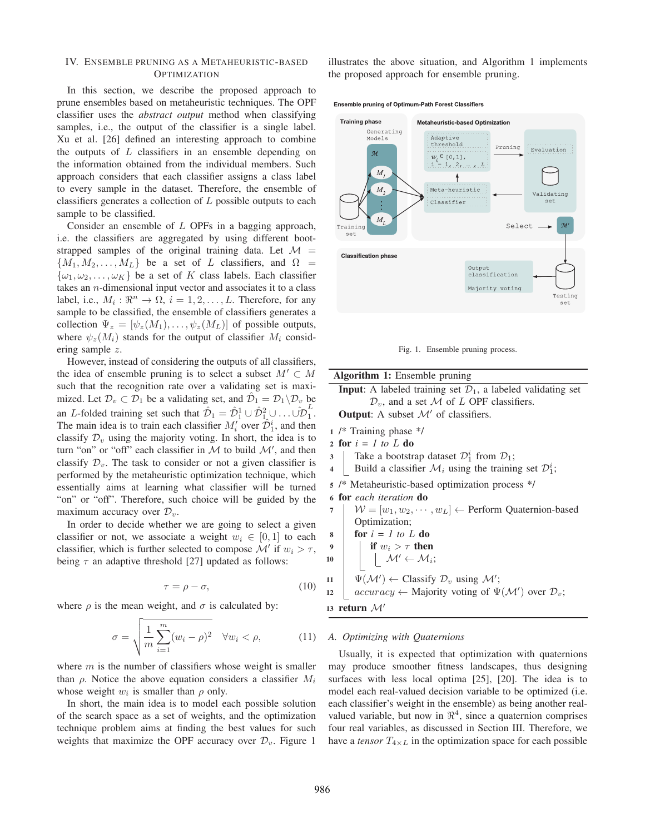# IV. ENSEMBLE PRUNING AS A METAHEURISTIC-BASED **OPTIMIZATION**

In this section, we describe the proposed approach to prune ensembles based on metaheuristic techniques. The OPF classifier uses the *abstract output* method when classifying samples, i.e., the output of the classifier is a single label. Xu et al. [26] defined an interesting approach to combine the outputs of  $L$  classifiers in an ensemble depending on the information obtained from the individual members. Such approach considers that each classifier assigns a class label to every sample in the dataset. Therefore, the ensemble of classifiers generates a collection of  $L$  possible outputs to each sample to be classified.

Consider an ensemble of L OPFs in a bagging approach, i.e. the classifiers are aggregated by using different bootstrapped samples of the original training data. Let  $\mathcal{M} =$  ${M_1, M_2,..., M_L}$  be a set of L classifiers, and  $\Omega =$  $\{\omega_1, \omega_2, \ldots, \omega_K\}$  be a set of K class labels. Each classifier takes an n-dimensional input vector and associates it to a class label, i.e.,  $M_i : \mathbb{R}^n \to \Omega$ ,  $i = 1, 2, ..., L$ . Therefore, for any sample to be classified, the ensemble of classifiers generates a collection  $\Psi_z = [\psi_z(M_1), \dots, \psi_z(M_L)]$  of possible outputs, where  $\psi_z(M_i)$  stands for the output of classifier  $M_i$  considering sample z.

However, instead of considering the outputs of all classifiers, the idea of ensemble pruning is to select a subset  $M' \subset M$ such that the recognition rate over a validating set is maximized. Let  $\mathcal{D}_v \subset \mathcal{D}_1$  be a validating set, and  $\hat{\mathcal{D}}_1 = \mathcal{D}_1 \backslash \mathcal{D}_v$  be an L-folded training set such that  $\hat{\mathcal{D}}_1 = \hat{\mathcal{D}}_1^1 \cup \hat{\mathcal{D}}_1^2 \cup \ldots \cup \hat{\mathcal{D}}_1^L$ . The main idea is to train each classifier  $M_i'$  over  $\hat{\mathcal{D}}_1^i$ , and then classify  $\mathcal{D}_v$  using the majority voting. In short, the idea is to turn "on" or "off" each classifier in  $M$  to build  $M'$ , and then classify  $\mathcal{D}_v$ . The task to consider or not a given classifier is performed by the metaheuristic optimization technique, which essentially aims at learning what classifier will be turned "on" or "off". Therefore, such choice will be guided by the maximum accuracy over  $\mathcal{D}_v$ .

In order to decide whether we are going to select a given classifier or not, we associate a weight  $w_i \in [0, 1]$  to each classifier, which is further selected to compose  $\mathcal{M}'$  if  $w_i > \tau$ , being  $\tau$  an adaptive threshold [27] updated as follows:

$$
\tau = \rho - \sigma,\tag{10}
$$

where  $\rho$  is the mean weight, and  $\sigma$  is calculated by:

$$
\sigma = \sqrt{\frac{1}{m} \sum_{i=1}^{m} (w_i - \rho)^2} \quad \forall w_i < \rho,\tag{11}
$$

where  $m$  is the number of classifiers whose weight is smaller than  $\rho$ . Notice the above equation considers a classifier  $M_i$ whose weight  $w_i$  is smaller than  $\rho$  only.

In short, the main idea is to model each possible solution of the search space as a set of weights, and the optimization technique problem aims at finding the best values for such weights that maximize the OPF accuracy over  $\mathcal{D}_v$ . Figure 1

illustrates the above situation, and Algorithm 1 implements the proposed approach for ensemble pruning.

Ensemble pruning of Optimum-Path Forest Classifiers



Fig. 1. Ensemble pruning process.

| <b>Algorithm 1:</b> Ensemble pruning<br><b>Input:</b> A labeled training set $\mathcal{D}_1$ , a labeled validating set<br>$\mathcal{D}_v$ , and a set M of L OPF classifiers.<br><b>Output:</b> A subset $\mathcal{M}'$ of classifiers.<br>$1$ /* Training phase */<br>2 for $i = 1$ to L do<br>Take a bootstrap dataset $\mathcal{D}_1^i$ from $\mathcal{D}_1$ ;<br>3<br>Build a classifier $\mathcal{M}_i$ using the training set $\mathcal{D}_1^i$ ;<br>4<br>5 /* Metaheuristic-based optimization process */<br><b>for</b> each iteration <b>do</b><br>$W = [w_1, w_2, \cdots, w_L] \leftarrow$ Perform Quaternion-based<br>7<br>Optimization;<br>for $i = 1$ to L do<br>8<br>if $w_i > \tau$ then<br>9<br>$\mathcal{M}' \leftarrow \mathcal{M}_i;$<br>10<br>$\Psi(\mathcal{M}') \leftarrow$ Classify $\mathcal{D}_v$ using $\mathcal{M}'$ ;<br>11<br>$accuracy \leftarrow$ Majority voting of $\Psi(\mathcal{M}')$ over $\mathcal{D}_v$ ;<br>12<br>13 return $\mathcal{M}'$ |  |
|-----------------------------------------------------------------------------------------------------------------------------------------------------------------------------------------------------------------------------------------------------------------------------------------------------------------------------------------------------------------------------------------------------------------------------------------------------------------------------------------------------------------------------------------------------------------------------------------------------------------------------------------------------------------------------------------------------------------------------------------------------------------------------------------------------------------------------------------------------------------------------------------------------------------------------------------------------------------------------------|--|
|                                                                                                                                                                                                                                                                                                                                                                                                                                                                                                                                                                                                                                                                                                                                                                                                                                                                                                                                                                                   |  |
|                                                                                                                                                                                                                                                                                                                                                                                                                                                                                                                                                                                                                                                                                                                                                                                                                                                                                                                                                                                   |  |
|                                                                                                                                                                                                                                                                                                                                                                                                                                                                                                                                                                                                                                                                                                                                                                                                                                                                                                                                                                                   |  |
|                                                                                                                                                                                                                                                                                                                                                                                                                                                                                                                                                                                                                                                                                                                                                                                                                                                                                                                                                                                   |  |
|                                                                                                                                                                                                                                                                                                                                                                                                                                                                                                                                                                                                                                                                                                                                                                                                                                                                                                                                                                                   |  |
|                                                                                                                                                                                                                                                                                                                                                                                                                                                                                                                                                                                                                                                                                                                                                                                                                                                                                                                                                                                   |  |
|                                                                                                                                                                                                                                                                                                                                                                                                                                                                                                                                                                                                                                                                                                                                                                                                                                                                                                                                                                                   |  |
|                                                                                                                                                                                                                                                                                                                                                                                                                                                                                                                                                                                                                                                                                                                                                                                                                                                                                                                                                                                   |  |
|                                                                                                                                                                                                                                                                                                                                                                                                                                                                                                                                                                                                                                                                                                                                                                                                                                                                                                                                                                                   |  |
|                                                                                                                                                                                                                                                                                                                                                                                                                                                                                                                                                                                                                                                                                                                                                                                                                                                                                                                                                                                   |  |
|                                                                                                                                                                                                                                                                                                                                                                                                                                                                                                                                                                                                                                                                                                                                                                                                                                                                                                                                                                                   |  |
|                                                                                                                                                                                                                                                                                                                                                                                                                                                                                                                                                                                                                                                                                                                                                                                                                                                                                                                                                                                   |  |
|                                                                                                                                                                                                                                                                                                                                                                                                                                                                                                                                                                                                                                                                                                                                                                                                                                                                                                                                                                                   |  |
|                                                                                                                                                                                                                                                                                                                                                                                                                                                                                                                                                                                                                                                                                                                                                                                                                                                                                                                                                                                   |  |
|                                                                                                                                                                                                                                                                                                                                                                                                                                                                                                                                                                                                                                                                                                                                                                                                                                                                                                                                                                                   |  |
|                                                                                                                                                                                                                                                                                                                                                                                                                                                                                                                                                                                                                                                                                                                                                                                                                                                                                                                                                                                   |  |
|                                                                                                                                                                                                                                                                                                                                                                                                                                                                                                                                                                                                                                                                                                                                                                                                                                                                                                                                                                                   |  |
|                                                                                                                                                                                                                                                                                                                                                                                                                                                                                                                                                                                                                                                                                                                                                                                                                                                                                                                                                                                   |  |

## *A. Optimizing with Quaternions*

Usually, it is expected that optimization with quaternions may produce smoother fitness landscapes, thus designing surfaces with less local optima [25], [20]. The idea is to model each real-valued decision variable to be optimized (i.e. each classifier's weight in the ensemble) as being another realvalued variable, but now in  $\mathbb{R}^4$ , since a quaternion comprises four real variables, as discussed in Section III. Therefore, we have a *tensor*  $T_{4 \times L}$  in the optimization space for each possible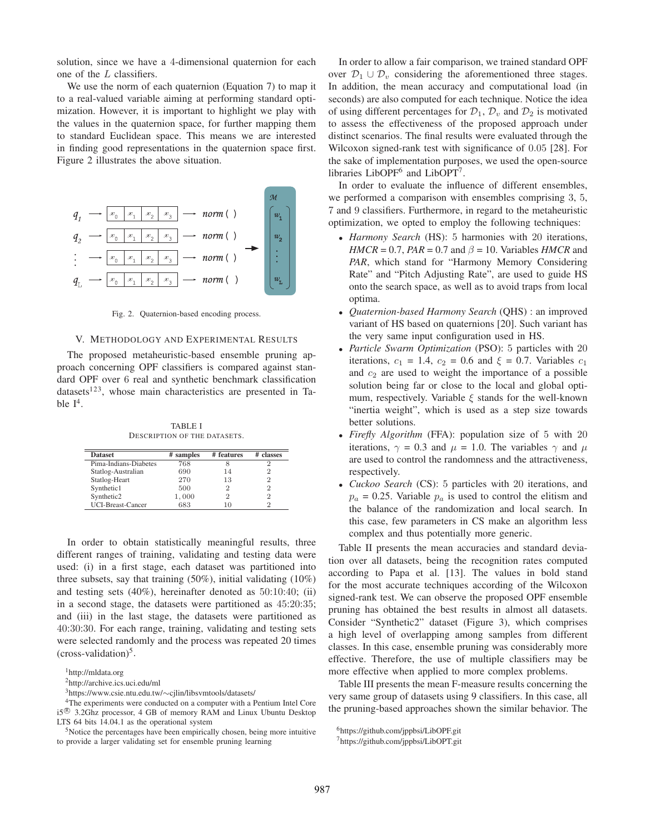solution, since we have a 4-dimensional quaternion for each one of the L classifiers.

We use the norm of each quaternion (Equation 7) to map it to a real-valued variable aiming at performing standard optimization. However, it is important to highlight we play with the values in the quaternion space, for further mapping them to standard Euclidean space. This means we are interested in finding good representations in the quaternion space first. Figure 2 illustrates the above situation.



Fig. 2. Quaternion-based encoding process.

### V. METHODOLOGY AND EXPERIMENTAL RESULTS

The proposed metaheuristic-based ensemble pruning approach concerning OPF classifiers is compared against standard OPF over 6 real and synthetic benchmark classification datasets<sup>123</sup>, whose main characteristics are presented in Table  $I^4$ .

TABLE I DESCRIPTION OF THE DATASETS.

| <b>Dataset</b>        | # samples | # features | # classes |
|-----------------------|-----------|------------|-----------|
| Pima-Indians-Diabetes | 768       | 8          |           |
| Statlog-Australian    | 690       | 14         |           |
| Statlog-Heart         | 270       | 13         |           |
| Synthetic1            | 500       | 2          |           |
| Synthetic2            | 1,000     | 2          |           |
| UCI-Breast-Cancer     | 683       |            |           |

In order to obtain statistically meaningful results, three different ranges of training, validating and testing data were used: (i) in a first stage, each dataset was partitioned into three subsets, say that training (50%), initial validating (10%) and testing sets (40%), hereinafter denoted as 50:10:40; (ii) in a second stage, the datasets were partitioned as 45:20:35; and (iii) in the last stage, the datasets were partitioned as 40:30:30. For each range, training, validating and testing sets were selected randomly and the process was repeated 20 times  $(cross-validation)^5$ .

1http://mldata.org

In order to allow a fair comparison, we trained standard OPF over  $\mathcal{D}_1 \cup \mathcal{D}_v$  considering the aforementioned three stages. In addition, the mean accuracy and computational load (in seconds) are also computed for each technique. Notice the idea of using different percentages for  $\mathcal{D}_1$ ,  $\mathcal{D}_v$  and  $\mathcal{D}_2$  is motivated to assess the effectiveness of the proposed approach under distinct scenarios. The final results were evaluated through the Wilcoxon signed-rank test with significance of 0.05 [28]. For the sake of implementation purposes, we used the open-source libraries LibOP $F<sup>6</sup>$  and LibOPT<sup>7</sup>.

In order to evaluate the influence of different ensembles, we performed a comparison with ensembles comprising 3, 5, 7 and 9 classifiers. Furthermore, in regard to the metaheuristic optimization, we opted to employ the following techniques:

- *Harmony Search* (HS): 5 harmonies with 20 iterations, *HMCR* = 0.7, *PAR* = 0.7 and  $\beta$  = 10. Variables *HMCR* and *PAR*, which stand for "Harmony Memory Considering Rate" and "Pitch Adjusting Rate", are used to guide HS onto the search space, as well as to avoid traps from local optima.
- *Quaternion-based Harmony Search* (QHS) : an improved variant of HS based on quaternions [20]. Such variant has the very same input configuration used in HS.
- *Particle Swarm Optimization* (PSO): 5 particles with 20 iterations,  $c_1 = 1.4$ ,  $c_2 = 0.6$  and  $\xi = 0.7$ . Variables  $c_1$ and  $c_2$  are used to weight the importance of a possible solution being far or close to the local and global optimum, respectively. Variable  $\xi$  stands for the well-known "inertia weight", which is used as a step size towards better solutions.
- *Firefly Algorithm* (FFA): population size of 5 with 20 iterations,  $\gamma = 0.3$  and  $\mu = 1.0$ . The variables  $\gamma$  and  $\mu$ are used to control the randomness and the attractiveness, respectively.
- *Cuckoo Search* (CS): 5 particles with 20 iterations, and  $p_a = 0.25$ . Variable  $p_a$  is used to control the elitism and the balance of the randomization and local search. In this case, few parameters in CS make an algorithm less complex and thus potentially more generic.

Table II presents the mean accuracies and standard deviation over all datasets, being the recognition rates computed according to Papa et al. [13]. The values in bold stand for the most accurate techniques according of the Wilcoxon signed-rank test. We can observe the proposed OPF ensemble pruning has obtained the best results in almost all datasets. Consider "Synthetic2" dataset (Figure 3), which comprises a high level of overlapping among samples from different classes. In this case, ensemble pruning was considerably more effective. Therefore, the use of multiple classifiers may be more effective when applied to more complex problems.

Table III presents the mean F-measure results concerning the very same group of datasets using 9 classifiers. In this case, all the pruning-based approaches shown the similar behavior. The

<sup>2</sup>http://archive.ics.uci.edu/ml

<sup>3</sup>https://www.csie.ntu.edu.tw/∼cjlin/libsvmtools/datasets/

<sup>4</sup>The experiments were conducted on a computer with a Pentium Intel Core i5<sup>®</sup> 3.2Ghz processor, 4 GB of memory RAM and Linux Ubuntu Desktop LTS 64 bits 14.04.1 as the operational system

<sup>&</sup>lt;sup>5</sup>Notice the percentages have been empirically chosen, being more intuitive to provide a larger validating set for ensemble pruning learning

<sup>6</sup>https://github.com/jppbsi/LibOPF.git

<sup>7</sup>https://github.com/jppbsi/LibOPT.git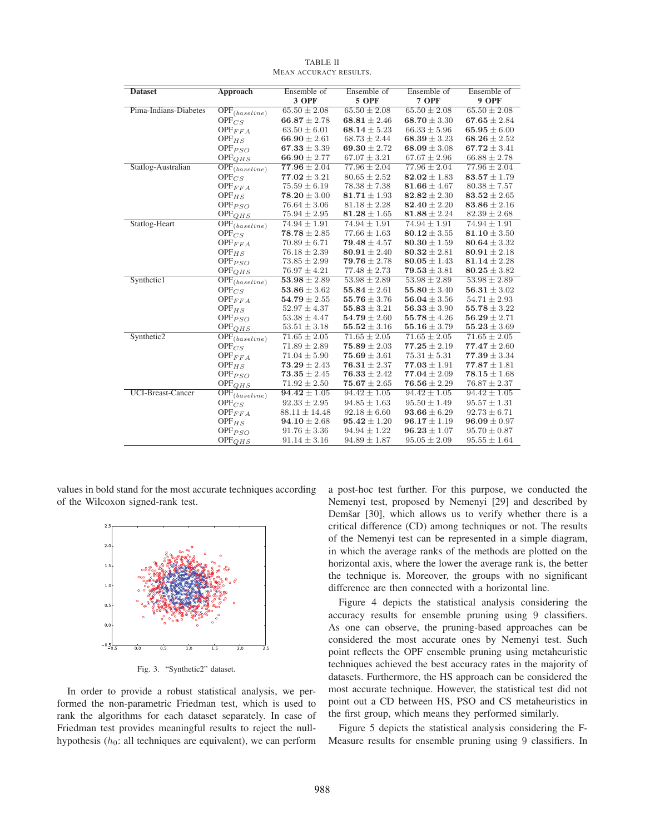| <b>Dataset</b>           | <b>Approach</b>                      | Ensemble of       | Ensemble of      | Ensemble of      | Ensemble of      |
|--------------------------|--------------------------------------|-------------------|------------------|------------------|------------------|
|                          |                                      | 3 OPF             | 5 OPF            | 7 OPF            | 9 OPF            |
| Pima-Indians-Diabetes    | $\overline{\text{OPF}}_{(baseline)}$ | $65.50 \pm 2.08$  | $65.50 \pm 2.08$ | $65.50 \pm 2.08$ | $65.50 \pm 2.08$ |
|                          | $\text{OPF}_{CS}$                    | $66.87 \pm 2.78$  | 68.81 $\pm$ 2.46 | 68.70 $\pm$ 3.30 | $67.65 \pm 2.84$ |
|                          | $\text{OPF}_{FFA}$                   | $63.50 \pm 6.01$  | 68.14 $\pm$ 5.23 | $66.33 \pm 5.96$ | 65.95 $\pm 6.00$ |
|                          | $OPF_{HS}$                           | 66.90 $\pm 2.61$  | $68.73 \pm 2.44$ | $68.39 \pm 3.23$ | 68.26 ± 2.52     |
|                          | $OPF_{PSO}$                          | 67.33 $\pm$ 3.39  | 69.30 $\pm$ 2.72 | 68.09 $\pm$ 3.08 | $67.72 \pm 3.41$ |
|                          | $OPF_{QHS}$                          | 66.90 $\pm$ 2.77  | $67.07 \pm 3.21$ | $67.67 \pm 2.96$ | $66.88 \pm 2.78$ |
| Statlog-Australian       | $\overline{OPF}_{(baseline)}$        | $77.96 \pm 2.04$  | $77.96 \pm 2.04$ | $77.96 \pm 2.04$ | $77.96 \pm 2.04$ |
|                          | $\mathrm{OPF}_{CS}$                  | $77.02 \pm 3.21$  | $80.65 \pm 2.52$ | $82.02 \pm 1.83$ | $83.57 \pm 1.79$ |
|                          | $\text{OPF}_{FFA}$                   | $75.59 \pm 6.19$  | $78.38 \pm 7.38$ | $81.66 \pm 4.67$ | $80.38 \pm 7.57$ |
|                          | OPF <sub>HS</sub>                    | $78.20 \pm 3.00$  | $81.71 \pm 1.93$ | $82.82 \pm 2.30$ | $83.52 \pm 2.65$ |
|                          | $OPF_{PSO}$                          | $76.64 \pm 3.06$  | $81.18 \pm 2.28$ | $82.40 \pm 2.20$ | $83.86 \pm 2.16$ |
|                          | $OPF_{QHS}$                          | $75.94 \pm 2.95$  | $81.28 \pm 1.65$ | $81.88 \pm 2.24$ | $82.39 \pm 2.68$ |
| Statlog-Heart            | $\overline{\text{OPF}}_{(baseline)}$ | $74.94 \pm 1.91$  | $74.94 \pm 1.91$ | $74.94 \pm 1.91$ | $74.94 \pm 1.91$ |
|                          | $\text{OPF}_{CS}$                    | $78.78 \pm 2.85$  | $77.66 \pm 1.63$ | $80.12 \pm 3.55$ | $81.10 \pm 3.50$ |
|                          | $\text{OPF}_{FFA}$                   | $70.89 \pm 6.71$  | $79.48 \pm 4.57$ | $80.30 \pm 1.59$ | $80.64 \pm 3.32$ |
|                          | $OPF_{HS}$                           | $76.18 \pm 2.39$  | $80.91 \pm 2.40$ | $80.32 \pm 2.81$ | $80.91 \pm 2.18$ |
|                          | $OPF_{PSO}$                          | $73.85 \pm 2.99$  | $79.76 \pm 2.78$ | $80.05 \pm 1.43$ | $81.14 \pm 2.28$ |
|                          | $\text{OPF}_{QHS}$                   | $76.97 \pm 4.21$  | $77.48 \pm 2.73$ | $79.53 \pm 3.81$ | $80.25 \pm 3.82$ |
| Synthetic1               | $\overline{\text{OPF}}_{(baseline)}$ | $53.98 \pm 2.89$  | $53.98 \pm 2.89$ | $53.98 \pm 2.89$ | $53.98 \pm 2.89$ |
|                          | $\text{OPF}_{CS}$                    | $53.86 \pm 3.62$  | $55.84 \pm 2.61$ | 55.80 $\pm$ 3.40 | $56.31 \pm 3.02$ |
|                          | $OPF_{FFA}$                          | $54.79 \pm 2.55$  | 55.76 $\pm$ 3.76 | $56.04 \pm 3.56$ | $54.71 \pm 2.93$ |
|                          | $OPF_{HS}$                           | $52.97 \pm 4.37$  | $55.83 \pm 3.21$ | $56.33 \pm 3.90$ | $55.78 \pm 3.22$ |
|                          | $OPF_{PSO}$                          | $53.38 \pm 4.47$  | $54.79 \pm 2.60$ | 55.78 $\pm$ 4.26 | $56.29 \pm 2.71$ |
|                          | $OPF_{QHS}$                          | $53.51 \pm 3.18$  | $55.52 \pm 3.16$ | 55.16 $\pm$ 3.79 | $55.23 \pm 3.69$ |
| Synthetic2               | $\overline{\text{OPF}}_{(baseline)}$ | $71.65 \pm 2.05$  | $71.65 \pm 2.05$ | $71.65 \pm 2.05$ | $71.65 \pm 2.05$ |
|                          | $\text{OPF}_{CS}$                    | $71.89 \pm 2.89$  | $75.89 \pm 2.03$ | $77.25 \pm 2.19$ | $77.47 \pm 2.60$ |
|                          | $OPF_{FFA}$                          | $71.04 \pm 5.90$  | $75.69 \pm 3.61$ | $75.31 \pm 5.31$ | $77.39 \pm 3.34$ |
|                          | $OPF_{HS}$                           | $73.29 \pm 2.43$  | $76.31 \pm 2.37$ | $77.03 \pm 1.91$ | $77.87 \pm 1.81$ |
|                          | $OPF_{PSO}$                          | $73.35 \pm 2.45$  | $76.33 \pm 2.42$ | $77.04 \pm 2.09$ | $78.15 \pm 1.68$ |
|                          | OPF <sub>QHS</sub>                   | $71.92 \pm 2.50$  | $75.67 \pm 2.65$ | $76.56 \pm 2.29$ | $76.87 \pm 2.37$ |
| <b>UCI-Breast-Cancer</b> | $\overline{\text{OPF}}_{(baseline)}$ | $94.42 \pm 1.05$  | $94.42 \pm 1.05$ | $94.42 \pm 1.05$ | $94.42 \pm 1.05$ |
|                          | $OPF_{CS}$                           | $92.33 \pm 2.95$  | $94.85 \pm 1.63$ | $95.50 \pm 1.49$ | $95.57 \pm 1.31$ |
|                          | $\text{OPF}_{FFA}$                   | $88.11 \pm 14.48$ | $92.18 \pm 6.60$ | $93.66 \pm 6.29$ | $92.73 \pm 6.71$ |
|                          | $OPF_{HS}$                           | $94.10 \pm 2.68$  | $95.42 \pm 1.20$ | $96.17 \pm 1.19$ | $96.09 \pm 0.97$ |
|                          | $OPF_{PSO}$                          | $91.76 \pm 3.36$  | $94.94 \pm 1.22$ | $96.23 \pm 1.07$ | $95.70 \pm 0.87$ |
|                          | $\text{OPF}_{QHS}$                   | $91.14 \pm 3.16$  | $94.89 \pm 1.87$ | $95.05 \pm 2.09$ | $95.55 \pm 1.64$ |

TABLE II MEAN ACCURACY RESULTS.

values in bold stand for the most accurate techniques according of the Wilcoxon signed-rank test.



Fig. 3. "Synthetic2" dataset.

In order to provide a robust statistical analysis, we performed the non-parametric Friedman test, which is used to rank the algorithms for each dataset separately. In case of Friedman test provides meaningful results to reject the nullhypothesis  $(h_0:$  all techniques are equivalent), we can perform a post-hoc test further. For this purpose, we conducted the Nemenyi test, proposed by Nemenyi [29] and described by Demšar [30], which allows us to verify whether there is a critical difference (CD) among techniques or not. The results of the Nemenyi test can be represented in a simple diagram, in which the average ranks of the methods are plotted on the horizontal axis, where the lower the average rank is, the better the technique is. Moreover, the groups with no significant difference are then connected with a horizontal line.

Figure 4 depicts the statistical analysis considering the accuracy results for ensemble pruning using 9 classifiers. As one can observe, the pruning-based approaches can be considered the most accurate ones by Nemenyi test. Such point reflects the OPF ensemble pruning using metaheuristic techniques achieved the best accuracy rates in the majority of datasets. Furthermore, the HS approach can be considered the most accurate technique. However, the statistical test did not point out a CD between HS, PSO and CS metaheuristics in the first group, which means they performed similarly.

Figure 5 depicts the statistical analysis considering the F-Measure results for ensemble pruning using 9 classifiers. In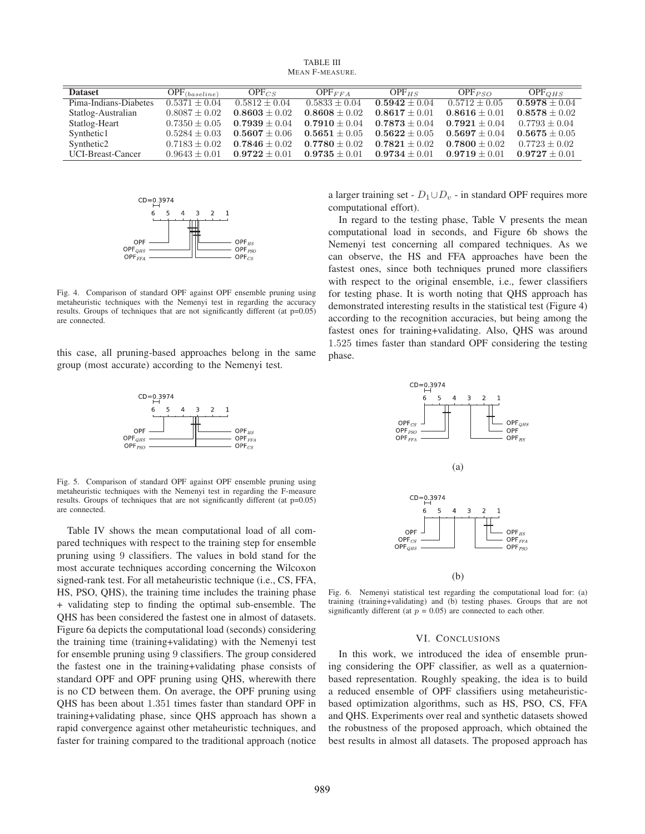TABLE III MEAN F-MEASURE.

| <b>Dataset</b>        | $\text{OPF}_{(baseline)}$ | $OPF_{CS}$        | $\text{OPF}_{FFA}$ | $OPF_{HS}$      | $OPF_{PSO}$     | OPF <sub>OHS</sub> |
|-----------------------|---------------------------|-------------------|--------------------|-----------------|-----------------|--------------------|
| Pima-Indians-Diabetes | $0.5371 \pm 0.04$         | $0.5812 \pm 0.04$ | $0.5833 + 0.04$    | $0.5942 + 0.04$ | $0.5712 + 0.05$ | $0.5978 + 0.04$    |
| Statlog-Australian    | $0.8087 \pm 0.02$         | $0.8603 \pm 0.02$ | $0.8608 + 0.02$    | $0.8617 + 0.01$ | $0.8616 + 0.01$ | $0.8578 + 0.02$    |
| Statlog-Heart         | $0.7350 + 0.05$           | $0.7939 + 0.04$   | $0.7910 + 0.04$    | $0.7873 + 0.04$ | $0.7921 + 0.04$ | $0.7793 + 0.04$    |
| Synthetic1            | $0.5284 \pm 0.03$         | $0.5607 + 0.06$   | $0.5651 + 0.05$    | $0.5622 + 0.05$ | $0.5697 + 0.04$ | $0.5675 + 0.05$    |
| Synthetic2            | $0.7183 \pm 0.02$         | $0.7846 + 0.02$   | $0.7780 + 0.02$    | $0.7821 + 0.02$ | $0.7800 + 0.02$ | $0.7723 \pm 0.02$  |
| UCI-Breast-Cancer     | $0.9643 + 0.01$           | $0.9722 + 0.01$   | $0.9735 + 0.01$    | $0.9734 + 0.01$ | $0.9719 + 0.01$ | $0.9727 + 0.01$    |



Fig. 4. Comparison of standard OPF against OPF ensemble pruning using metaheuristic techniques with the Nemenyi test in regarding the accuracy results. Groups of techniques that are not significantly different (at p=0.05) are connected.

this case, all pruning-based approaches belong in the same group (most accurate) according to the Nemenyi test.



Fig. 5. Comparison of standard OPF against OPF ensemble pruning using metaheuristic techniques with the Nemenyi test in regarding the F-measure results. Groups of techniques that are not significantly different (at  $p=0.05$ ) are connected.

Table IV shows the mean computational load of all compared techniques with respect to the training step for ensemble pruning using 9 classifiers. The values in bold stand for the most accurate techniques according concerning the Wilcoxon signed-rank test. For all metaheuristic technique (i.e., CS, FFA, HS, PSO, QHS), the training time includes the training phase + validating step to finding the optimal sub-ensemble. The QHS has been considered the fastest one in almost of datasets. Figure 6a depicts the computational load (seconds) considering the training time (training+validating) with the Nemenyi test for ensemble pruning using 9 classifiers. The group considered the fastest one in the training+validating phase consists of standard OPF and OPF pruning using QHS, wherewith there is no CD between them. On average, the OPF pruning using QHS has been about 1.351 times faster than standard OPF in training+validating phase, since QHS approach has shown a rapid convergence against other metaheuristic techniques, and faster for training compared to the traditional approach (notice

a larger training set -  $D_1 \cup D_v$  - in standard OPF requires more computational effort).

In regard to the testing phase, Table V presents the mean computational load in seconds, and Figure 6b shows the Nemenyi test concerning all compared techniques. As we can observe, the HS and FFA approaches have been the fastest ones, since both techniques pruned more classifiers with respect to the original ensemble, i.e., fewer classifiers for testing phase. It is worth noting that QHS approach has demonstrated interesting results in the statistical test (Figure 4) according to the recognition accuracies, but being among the fastest ones for training+validating. Also, QHS was around 1.525 times faster than standard OPF considering the testing phase.



Fig. 6. Nemenyi statistical test regarding the computational load for: (a) training (training+validating) and (b) testing phases. Groups that are not significantly different (at  $p = 0.05$ ) are connected to each other.

### VI. CONCLUSIONS

In this work, we introduced the idea of ensemble pruning considering the OPF classifier, as well as a quaternionbased representation. Roughly speaking, the idea is to build a reduced ensemble of OPF classifiers using metaheuristicbased optimization algorithms, such as HS, PSO, CS, FFA and QHS. Experiments over real and synthetic datasets showed the robustness of the proposed approach, which obtained the best results in almost all datasets. The proposed approach has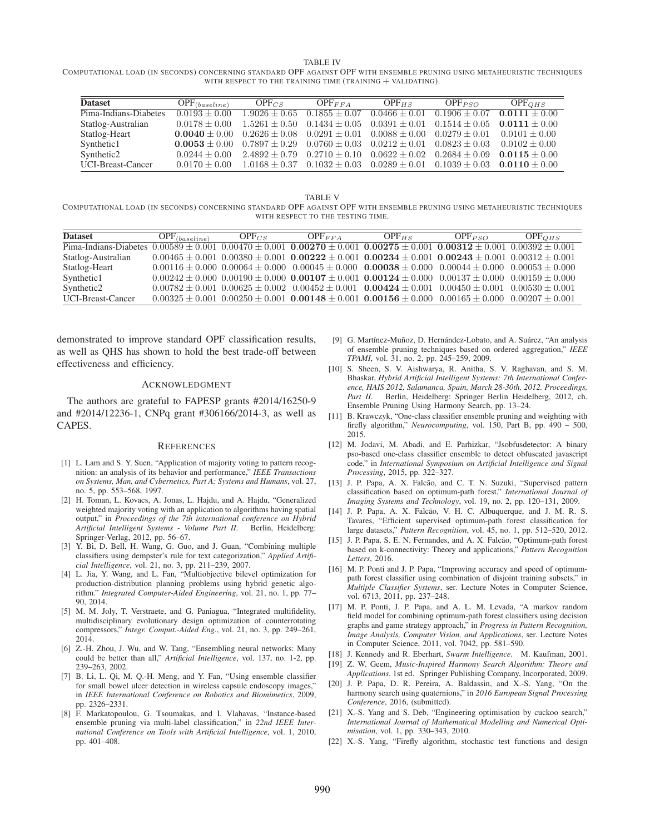TABLE IV

COMPUTATIONAL LOAD (IN SECONDS) CONCERNING STANDARD OPF AGAINST OPF WITH ENSEMBLE PRUNING USING METAHEURISTIC TECHNIQUES WITH RESPECT TO THE TRAINING TIME  $(TRAINING + VALIDATING)$ .

| <b>Dataset</b>        | $\text{OPF}_{(baseline)}$ | $OPF_{CS}$      | $\text{OPF}_{FFA}$                  | $OPF_{HS}$        | $OPF_{PSO}$                                                             | OPF <sub>OHS</sub> |
|-----------------------|---------------------------|-----------------|-------------------------------------|-------------------|-------------------------------------------------------------------------|--------------------|
| Pima-Indians-Diabetes | $0.0193 + 0.00$           | $1.9026 + 0.65$ | $0.1855 + 0.07$                     | $0.0466 \pm 0.01$ | $0.1906 + 0.07$                                                         | $0.0111 + 0.00$    |
| Statlog-Australian    | $0.0178 + 0.00$           | $1.5261 + 0.50$ | $0.1434 \pm 0.05$                   | $0.0391 \pm 0.01$ | $0.1514 + 0.05$                                                         | $0.0111 + 0.00$    |
| Statlog-Heart         | $0.0040 + 0.00$           |                 | $0.2626 \pm 0.08$ $0.0291 \pm 0.01$ | $0.0088 + 0.00$   | $0.0279 + 0.01$                                                         | $0.0101 + 0.00$    |
| Synthetic1            | $0.0053 + 0.00$           | $0.7897 + 0.29$ | $0.0760 \pm 0.03$                   | $0.0212 + 0.01$   | $0.0823 + 0.03$                                                         | $0.0102 + 0.00$    |
| Synthetic2            | $0.0244 + 0.00$           | $2.4892 + 0.79$ | $0.2710 \pm 0.10$                   | $0.0622 \pm 0.02$ | $0.2684 \pm 0.09$                                                       | $0.0115 + 0.00$    |
| UCI-Breast-Cancer     | $0.0170 + 0.00$           |                 |                                     |                   | $1.0168 \pm 0.37$ $0.1032 \pm 0.03$ $0.0289 \pm 0.01$ $0.1039 \pm 0.03$ | $0.0110 + 0.00$    |

TABLE V COMPUTATIONAL LOAD (IN SECONDS) CONCERNING STANDARD OPF AGAINST OPF WITH ENSEMBLE PRUNING USING METAHEURISTIC TECHNIQUES WITH RESPECT TO THE TESTING TIME.

| <b>Dataset</b>                                                                                                                                | $\text{OPF}_{(baseline)}$ | $OPF_{CS}$ | $\text{OPF}_{FFA}$                                                                                                       | $OPF_{HS}$ | $OPF_{PSO}$ | $OPF_{OHS}$ |
|-----------------------------------------------------------------------------------------------------------------------------------------------|---------------------------|------------|--------------------------------------------------------------------------------------------------------------------------|------------|-------------|-------------|
| Pima-Indians-Diabetes $0.00589 \pm 0.001$ $0.00470 \pm 0.001$ $0.00270 \pm 0.001$ $0.00275 \pm 0.001$ $0.00312 \pm 0.001$ $0.00392 \pm 0.001$ |                           |            |                                                                                                                          |            |             |             |
| Statlog-Australian                                                                                                                            |                           |            | $0.00465 \pm 0.001$ $0.00380 \pm 0.001$ $0.00222 \pm 0.001$ $0.002334 \pm 0.001$ $0.00243 \pm 0.001$ $0.00312 \pm 0.001$ |            |             |             |
| Statlog-Heart                                                                                                                                 |                           |            | $0.00116 \pm 0.000$ $0.00064 \pm 0.000$ $0.00045 \pm 0.000$ $0.00038 \pm 0.000$ $0.00044 \pm 0.000$ $0.00053 \pm 0.000$  |            |             |             |
| Synthetic1                                                                                                                                    |                           |            | $0.00242 \pm 0.000$ $0.00190 \pm 0.000$ $0.00107 \pm 0.001$ $0.00124 \pm 0.000$ $0.00137 \pm 0.000$ $0.00159 \pm 0.000$  |            |             |             |
| Synthetic <sub>2</sub>                                                                                                                        |                           |            | $0.00782 \pm 0.001$ $0.00625 \pm 0.002$ $0.00452 \pm 0.001$ $0.00424 \pm 0.001$ $0.00450 \pm 0.001$ $0.00530 \pm 0.001$  |            |             |             |
| UCI-Breast-Cancer                                                                                                                             |                           |            | $0.00325 \pm 0.001$ $0.00250 \pm 0.001$ $0.00148 \pm 0.001$ $0.00156 \pm 0.000$ $0.00165 \pm 0.000$ $0.00207 \pm 0.001$  |            |             |             |

demonstrated to improve standard OPF classification results, as well as QHS has shown to hold the best trade-off between effectiveness and efficiency.

#### ACKNOWLEDGMENT

The authors are grateful to FAPESP grants #2014/16250-9 and #2014/12236-1, CNPq grant #306166/2014-3, as well as CAPES.

#### **REFERENCES**

- [1] L. Lam and S. Y. Suen, "Application of majority voting to pattern recognition: an analysis of its behavior and performance," *IEEE Transactions on Systems, Man, and Cybernetics, Part A: Systems and Humans*, vol. 27, no. 5, pp. 553–568, 1997.
- [2] H. Toman, L. Kovacs, A. Jonas, L. Hajdu, and A. Hajdu, "Generalized weighted majority voting with an application to algorithms having spatial output," in *Proceedings of the 7th international conference on Hybrid Artificial Intelligent Systems - Volume Part II*. Berlin, Heidelberg: Springer-Verlag, 2012, pp. 56–67.
- [3] Y. Bi, D. Bell, H. Wang, G. Guo, and J. Guan, "Combining multiple classifiers using dempster's rule for text categorization," *Applied Artificial Intelligence*, vol. 21, no. 3, pp. 211–239, 2007.
- [4] L. Jia, Y. Wang, and L. Fan, "Multiobjective bilevel optimization for production-distribution planning problems using hybrid genetic algorithm." *Integrated Computer-Aided Engineering*, vol. 21, no. 1, pp. 77– 90, 2014.
- [5] M. M. Joly, T. Verstraete, and G. Paniagua, "Integrated multifidelity, multidisciplinary evolutionary design optimization of counterrotating compressors," *Integr. Comput.-Aided Eng.*, vol. 21, no. 3, pp. 249–261, 2014.
- [6] Z.-H. Zhou, J. Wu, and W. Tang, "Ensembling neural networks: Many could be better than all," *Artificial Intelligence*, vol. 137, no. 1-2, pp. 239–263, 2002.
- [7] B. Li, L. Qi, M. Q.-H. Meng, and Y. Fan, "Using ensemble classifier for small bowel ulcer detection in wireless capsule endoscopy images," in *IEEE International Conference on Robotics and Biomimetics*, 2009, pp. 2326–2331.
- [8] F. Markatopoulou, G. Tsoumakas, and I. Vlahavas, "Instance-based ensemble pruning via multi-label classification," in *22nd IEEE International Conference on Tools with Artificial Intelligence*, vol. 1, 2010, pp. 401–408.
- [9] G. Martínez-Muñoz, D. Hernández-Lobato, and A. Suárez, "An analysis of ensemble pruning techniques based on ordered aggregation," *IEEE TPAMI*, vol. 31, no. 2, pp. 245–259, 2009.
- [10] S. Sheen, S. V. Aishwarya, R. Anitha, S. V. Raghavan, and S. M. Bhaskar, *Hybrid Artificial Intelligent Systems: 7th International Conference, HAIS 2012, Salamanca, Spain, March 28-30th, 2012. Proceedings, Part II*. Berlin, Heidelberg: Springer Berlin Heidelberg, 2012, ch. Ensemble Pruning Using Harmony Search, pp. 13–24.
- [11] B. Krawczyk, "One-class classifier ensemble pruning and weighting with firefly algorithm," *Neurocomputing*, vol. 150, Part B, pp. 490 – 500, 2015.
- [12] M. Jodavi, M. Abadi, and E. Parhizkar, "Jsobfusdetector: A binary pso-based one-class classifier ensemble to detect obfuscated javascript code," in *International Symposium on Artificial Intelligence and Signal Processing*, 2015, pp. 322–327.
- [13] J. P. Papa, A. X. Falcão, and C. T. N. Suzuki, "Supervised pattern classification based on optimum-path forest," *International Journal of Imaging Systems and Technology*, vol. 19, no. 2, pp. 120–131, 2009.
- [14] J. P. Papa, A. X. Falcão, V. H. C. Albuquerque, and J. M. R. S. Tavares, "Efficient supervised optimum-path forest classification for large datasets," *Pattern Recognition*, vol. 45, no. 1, pp. 512–520, 2012.
- [15] J. P. Papa, S. E. N. Fernandes, and A. X. Falcão, "Optimum-path forest based on k-connectivity: Theory and applications," *Pattern Recognition Letters*, 2016.
- [16] M. P. Ponti and J. P. Papa, "Improving accuracy and speed of optimumpath forest classifier using combination of disjoint training subsets," in *Multiple Classifier Systems*, ser. Lecture Notes in Computer Science, vol. 6713, 2011, pp. 237–248.
- [17] M. P. Ponti, J. P. Papa, and A. L. M. Levada, "A markov random field model for combining optimum-path forest classifiers using decision graphs and game strategy approach," in *Progress in Pattern Recognition, Image Analysis, Computer Vision, and Applications*, ser. Lecture Notes in Computer Science, 2011, vol. 7042, pp. 581–590.
- [18] J. Kennedy and R. Eberhart, *Swarm Intelligence*. M. Kaufman, 2001.
- [19] Z. W. Geem, *Music-Inspired Harmony Search Algorithm: Theory and Applications*, 1st ed. Springer Publishing Company, Incorporated, 2009.
- [20] J. P. Papa, D. R. Pereira, A. Baldassin, and X.-S. Yang, "On the harmony search using quaternions," in *2016 European Signal Processing Conference*, 2016, (submitted).
- [21] X.-S. Yang and S. Deb, "Engineering optimisation by cuckoo search," *International Journal of Mathematical Modelling and Numerical Optimisation*, vol. 1, pp. 330–343, 2010.
- [22] X.-S. Yang, "Firefly algorithm, stochastic test functions and design